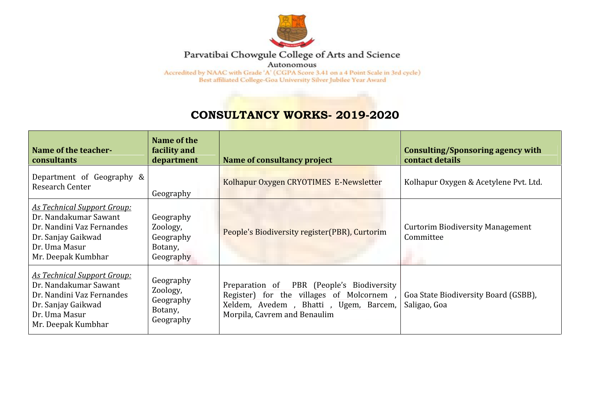

## Parvatibai Chowgule College of Arts and Science

Autonomous

Accredited by NAAC with Grade 'A' (CGPA Score 3.41 on a 4 Point Scale in 3rd cycle) Best affiliated College-Goa University Silver Jubilee Year Award

## **CONSULTANCY WORKS- 2019-2020**

| Name of the teacher-<br><b>consultants</b>                                                                                                            | Name of the<br>facility and<br>department                  | Name of consultancy project                                                                                                                                    | Consulting/Sponsoring agency with<br>contact details |
|-------------------------------------------------------------------------------------------------------------------------------------------------------|------------------------------------------------------------|----------------------------------------------------------------------------------------------------------------------------------------------------------------|------------------------------------------------------|
| Department of Geography &<br>Research Center                                                                                                          | Geography                                                  | Kolhapur Oxygen CRYOTIMES E-Newsletter                                                                                                                         | Kolhapur Oxygen & Acetylene Pvt. Ltd.                |
| <u>As Technical Support Group:</u><br>Dr. Nandakumar Sawant<br>Dr. Nandini Vaz Fernandes<br>Dr. Sanjay Gaikwad<br>Dr. Uma Masur<br>Mr. Deepak Kumbhar | Geography<br>Zoology,<br>Geography<br>Botany,<br>Geography | People's Biodiversity register(PBR), Curtorim                                                                                                                  | <b>Curtorim Biodiversity Management</b><br>Committee |
| <b>As Technical Support Group:</b><br>Dr. Nandakumar Sawant<br>Dr. Nandini Vaz Fernandes<br>Dr. Sanjay Gaikwad<br>Dr. Uma Masur<br>Mr. Deepak Kumbhar | Geography<br>Zoology,<br>Geography<br>Botany,<br>Geography | Preparation of PBR (People's Biodiversity<br>Register) for the villages of Molcornem,<br>Xeldem, Avedem, Bhatti, Ugem, Barcem,<br>Morpila, Cavrem and Benaulim | Goa State Biodiversity Board (GSBB),<br>Saligao, Goa |